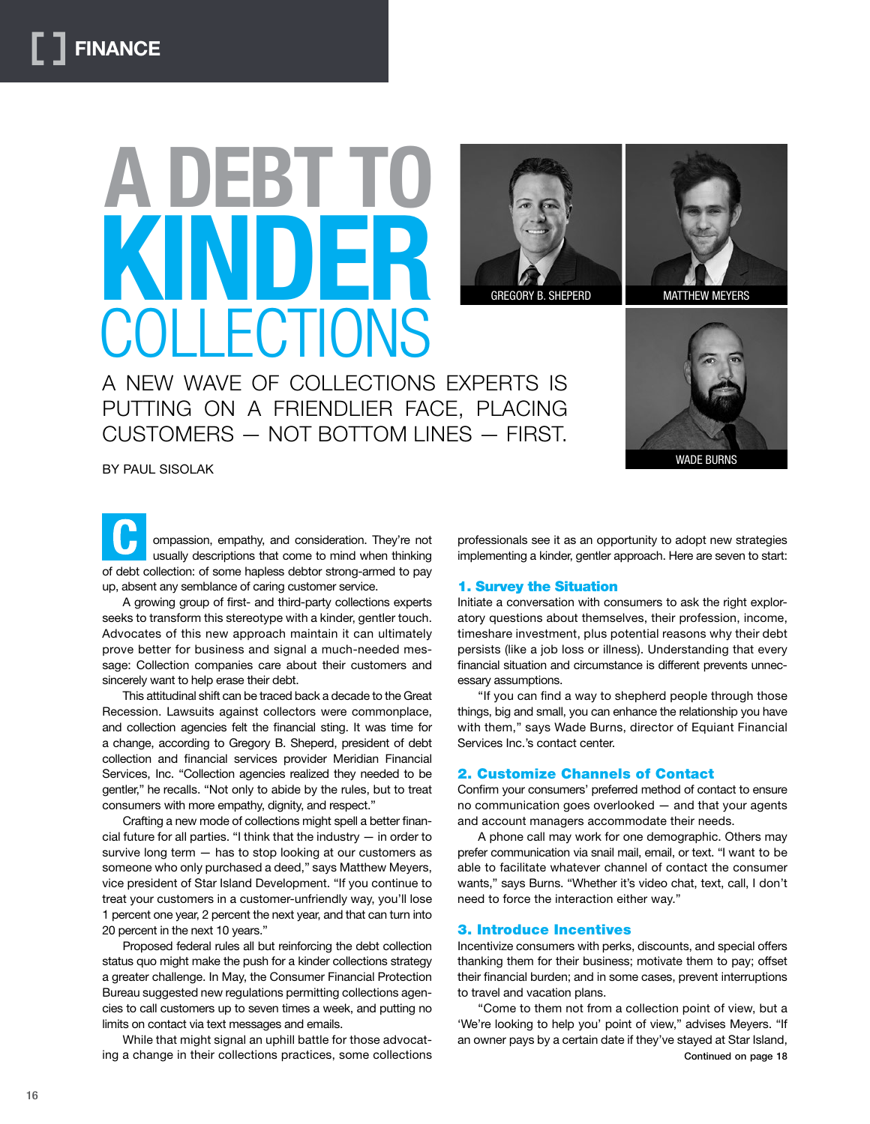# **A DEBT TO KIND** COLLECTIONS



GREGORY B. SHEPERD MATTHEW MEYERS

A NEW WAVE OF COLLECTIONS EXPERTS IS PUTTING ON A FRIENDLIER FACE, PLACING CUSTOMERS — NOT BOTTOM LINES — FIRST.

WADE BURNS

BY PAUL SISOLAK

ompassion, empathy, and consideration. They're not usually descriptions that come to mind when thinking of debt collection: of some hapless debtor strong-armed to pay up, absent any semblance of caring customer service.

A growing group of first- and third-party collections experts seeks to transform this stereotype with a kinder, gentler touch. Advocates of this new approach maintain it can ultimately prove better for business and signal a much-needed message: Collection companies care about their customers and sincerely want to help erase their debt.

This attitudinal shift can be traced back a decade to the Great Recession. Lawsuits against collectors were commonplace, and collection agencies felt the financial sting. It was time for a change, according to Gregory B. Sheperd, president of debt collection and financial services provider Meridian Financial Services, Inc. "Collection agencies realized they needed to be gentler," he recalls. "Not only to abide by the rules, but to treat consumers with more empathy, dignity, and respect."

Crafting a new mode of collections might spell a better financial future for all parties. "I think that the industry — in order to survive long term — has to stop looking at our customers as someone who only purchased a deed," says Matthew Meyers, vice president of Star Island Development. "If you continue to treat your customers in a customer-unfriendly way, you'll lose 1 percent one year, 2 percent the next year, and that can turn into 20 percent in the next 10 years."

Proposed federal rules all but reinforcing the debt collection status quo might make the push for a kinder collections strategy a greater challenge. In May, the Consumer Financial Protection Bureau suggested new regulations permitting collections agencies to call customers up to seven times a week, and putting no limits on contact via text messages and emails.

While that might signal an uphill battle for those advocating a change in their collections practices, some collections professionals see it as an opportunity to adopt new strategies implementing a kinder, gentler approach. Here are seven to start:

## 1. Survey the Situation

Initiate a conversation with consumers to ask the right exploratory questions about themselves, their profession, income, timeshare investment, plus potential reasons why their debt persists (like a job loss or illness). Understanding that every financial situation and circumstance is different prevents unnecessary assumptions.

"If you can find a way to shepherd people through those things, big and small, you can enhance the relationship you have with them," says Wade Burns, director of Equiant Financial Services Inc.'s contact center.

# 2. Customize Channels of Contact

Confirm your consumers' preferred method of contact to ensure no communication goes overlooked — and that your agents and account managers accommodate their needs.

A phone call may work for one demographic. Others may prefer communication via snail mail, email, or text. "I want to be able to facilitate whatever channel of contact the consumer wants," says Burns. "Whether it's video chat, text, call, I don't need to force the interaction either way."

# 3. Introduce Incentives

Incentivize consumers with perks, discounts, and special offers thanking them for their business; motivate them to pay; offset their financial burden; and in some cases, prevent interruptions to travel and vacation plans.

"Come to them not from a collection point of view, but a 'We're looking to help you' point of view," advises Meyers. "If an owner pays by a certain date if they've stayed at Star Island, Continued on page 18